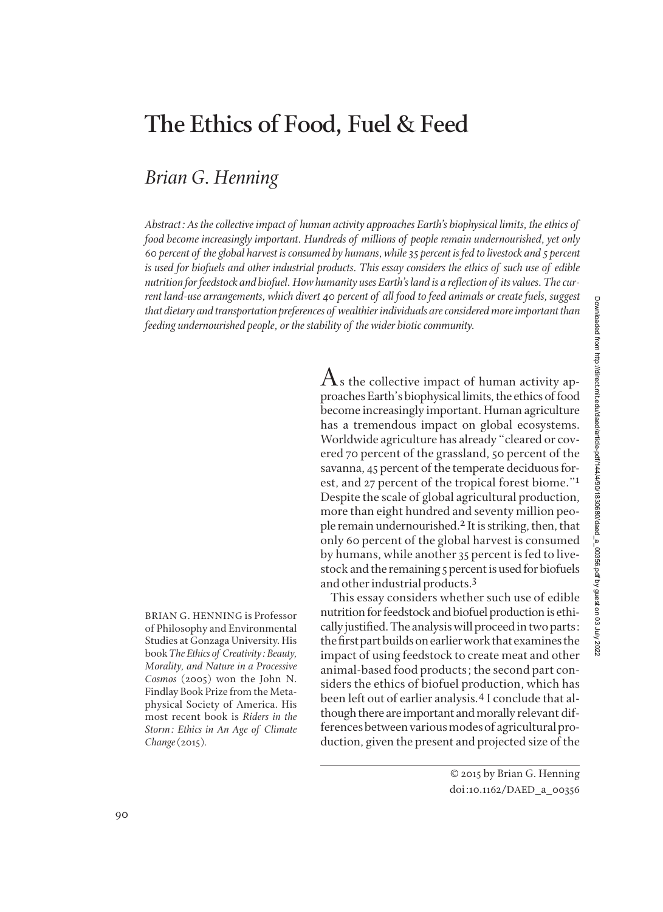## **The Ethics of Food, Fuel & Feed**

## *Brian G. Henning*

*Abstract: As the collective impact of human activity approaches Earth's biophysical limits, the ethics of food become increasingly important. Hundreds of millions of people remain undernourished, yet only 60 percent of the global harvest is consumed by humans, while 35 percent is fed to livestock and 5 percent is used for biofuels and other industrial products. This essay considers the ethics of such use of edible nutrition for feedstock and biofuel. How humanity uses Earth's land is a reflection of its values. The current land-use arrangements, which divert 40 percent of all food to feed animals or create fuels, suggest that dietary and transportation preferences of wealthier individuals are considered more important than feeding undernourished people, or the stability of the wider biotic community.*

BRIAN G. HENNING is Professor of Philosophy and Environmental Studies at Gonzaga University. His book *The Ethics of Creativity: Beauty, Morality, and Nature in a Processive Cosmos* (2005) won the John N. Findlay Book Prize from the Metaphysical Society of America. His most recent book is *Riders in the Storm: Ethics in An Age of Climate Change*(2015)*.*

 $\rm A$ s the collective impact of human activity approaches Earth's biophysical limits, the ethics of food become increasingly important. Human agriculture has a tremendous impact on global ecosystems. Worldwide agriculture has already "cleared or covered 70 percent of the grassland, 50 percent of the savanna, 45 percent of the temperate deciduous for est, and 27 percent of the tropical forest biome."1 Despite the scale of global agricultural production, more than eight hundred and seventy million people remain undernourished.2 It is striking, then, that only 60 percent of the global harvest is consumed by humans, while another 35 percent is fed to livestock and the remaining 5 percent is used for biofuels and other industrial products.3

This essay considers whether such use of edible nutrition for feedstock and biofuel production is ethi cally justified. The analysis will proceed in two parts: the first part builds on earlier work that examines the impact of using feedstock to create meat and other animal-based food products; the second part considers the ethics of biofuel production, which has been left out of earlier analysis.<sup>4</sup> I conclude that although there are important and morally relevant differences between various modes of agricultural pro duction, given the present and projected size of the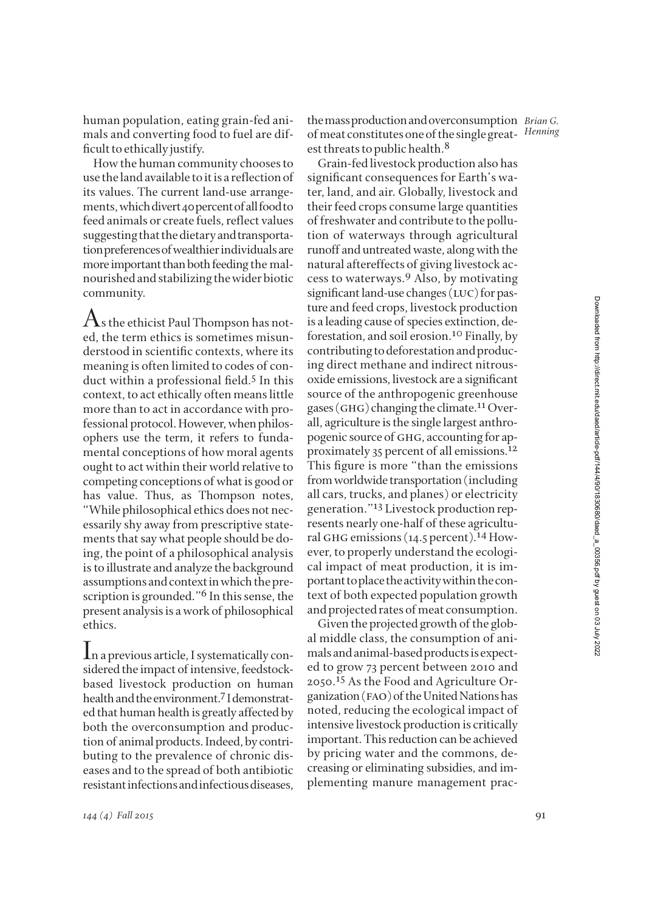human population, eating grain-fed ani mals and converting food to fuel are difficult to ethically justify.

How the human community chooses to use the land available to it is a reflection of its values. The current land-use arrangements, which divert 40 percent of all food to feed animals or create fuels, reflect values suggesting that the dietary and transportation preferences of wealthier individuals are more important than both feeding the malnourished and stabilizing the wider biotic community.

 $\rm A$ s the ethicist Paul Thompson has noted, the term ethics is sometimes misunderstood in scientific contexts, where its meaning is often limited to codes of conduct within a professional field.<sup>5</sup> In this context, to act ethically often means little more than to act in accordance with professional protocol. However, when philosophers use the term, it refers to funda mental conceptions of how moral agents ought to act within their world relative to competing conceptions of what is good or has value. Thus, as Thompson notes, "While philosophical ethics does not necessarily shy away from prescriptive statements that say what people should be do ing, the point of a philosophical analysis is to illustrate and analyze the background assumptions and context in which the prescription is grounded."<sup>6</sup> In this sense, the present analysis is a work of philosophical ethics.

In a previous article, I systematically considered the impact of intensive, feedstockbased livestock production on human health and the environment.<sup>7</sup> I demonstrated that human health is greatly affected by both the overconsumption and production of animal products. Indeed, by contributing to the prevalence of chronic diseases and to the spread of both antibiotic resistant infections and infectious diseases,

the mass production and over consumption *Brian G*. of meat constitutes one of the single great-*Henning* est threats to public health.<sup>8</sup>

Grain-fed livestock production also has significant consequences for Earth's water, land, and air. Globally, livestock and their feed crops consume large quantities of freshwater and contribute to the pollution of waterways through agricultural run off and untreated waste, along with the natural aftereffects of giving livestock ac cess to waterways.9 Also, by motivating significant land-use changes (LUC) for pasture and feed crops, livestock production is a leading cause of species extinction, deforestation, and soil erosion.10 Finally, by contributing to deforestation and produc ing direct methane and indirect nitrousoxide emissions, livestock are a significant source of the anthropogenic greenhouse gases (GHG) changing the climate.<sup>11</sup> Overall, agriculture is the single largest anthropogenic source of GHG, accounting for approximately 35 percent of all emissions.12 This figure is more "than the emissions from worldwide transportation (including all cars, trucks, and planes) or electricity generation."<sup>13</sup> Livestock production represents nearly one-half of these agricultural GHG emissions (14.5 percent).<sup>14</sup> However, to properly understand the ecological impact of meat production, it is im portant to place the activity within the con text of both expected population growth and projected rates of meat consumption.

Given the projected growth of the global middle class, the consumption of animals and animal-based products is expect ed to grow 73 percent between 2010 and 2050.15 As the Food and Agriculture Or ganization (fao) of the United Nations has noted, reducing the ecological impact of intensive livestock production is critically important. This reduction can be achieved by pricing water and the commons, decreasing or eliminating subsidies, and im plementing manure management prac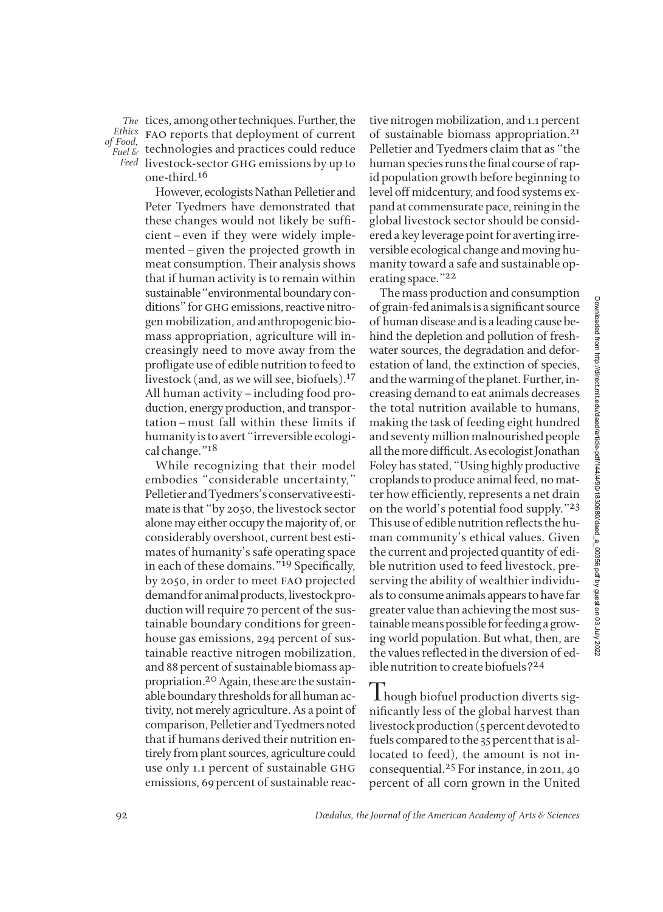*of Food,*

The tices, among other techniques. Further, the Ethics FAO reports that deployment of current *Fuel* & technologies and practices could reduce livestock-sector ghg emissions by up to *Feed* one-third.16

> However, ecologists Nathan Pelletier and Peter Tyedmers have demonstrated that these changes would not likely be sufficient–even if they were widely implemented–given the projected growth in meat consumption. Their analysis shows that if human activity is to remain within sustainable "environmental boundary conditions" for GHG emissions, reactive nitro gen mobilization, and anthropogenic bio mass appropriation, agriculture will in creas ingly need to move away from the profligate use of edible nutrition to feed to live stock (and, as we will see, biofuels).<sup>17</sup> All human activity – including food production, energy production, and transpor tation–must fall within these limits if humanity is to avert "irreversible ecological change."18

> While recognizing that their model embodies "considerable uncertainty," Pelletier and Tyedmers's conservative esti mate is that "by 2050, the livestock sector alone may either occupy the majority of, or considerably overshoot, current best estimates of humanity's safe operating space in each of these domains."<sup>19</sup> Specifically, by 2050, in order to meet fao projected demand for animal products, livestock production will require 70 percent of the sustainable boundary conditions for greenhouse gas emissions, 294 percent of sustainable reactive nitrogen mobilization, and 88 percent of sustainable biomass ap propriation.<sup>20</sup> Again, these are the sustainable boundary thresholds for all human ac tivity, not merely agriculture. As a point of comparison, Pelletier and Tyedmers noted that if humans derived their nutrition entirely from plant sources, agriculture could use only 1.1 percent of sustainable ghg emissions, 69 percent of sustainable reac

tive nitrogen mobilization, and 1.1 percent of sustainable biomass appropriation.21 Pelletier and Tyedmers claim that as "the human species runs the final course of rapid population growth before beginning to level off midcentury, and food systems expand at commensurate pace, reining in the global livestock sector should be considered a key leverage point for averting irreversible ecological change and moving humanity toward a safe and sustainable operating space."22

The mass production and consumption of grain-fed animals is a significant source of human disease and is a leading cause be hind the depletion and pollution of freshwater sources, the degradation and deforestation of land, the extinction of species, and the warming of the planet. Further, in creasing demand to eat animals de creases the total nutrition available to humans, making the task of feeding eight hundred and seventy million malnourished people all the more difficult. As ecologist Jonathan Foley has stated, "Using highly productive croplands to produce animal feed, no mat ter how efficiently, represents a net drain on the world's potential food supply."23 This use of edible nutrition reflects the human community's ethical values. Given the current and projected quantity of edible nutrition used to feed livestock, preserving the ability of wealthier individuals to consume animals appears to have far greater value than achieving the most sus tainable means possible for feeding a growing world population. But what, then, are the values reflected in the diversion of ed ible nutrition to create biofuels?24

I hough biofuel production diverts significantly less of the global harvest than livestock production (5 percent devoted to fuels compared to the 35 percent that is allocated to feed), the amount is not inconsequential.25 For instance, in 2011, 40 percent of all corn grown in the United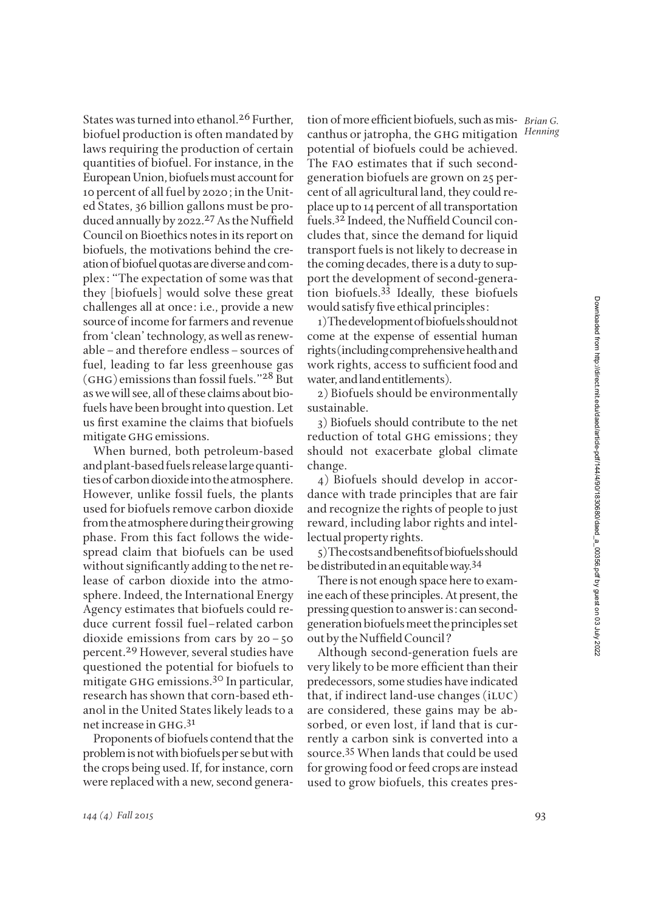States was turned into ethanol.<sup>26</sup> Further, biofuel production is often mandated by laws requiring the production of certain quantities of biofuel. For instance, in the European Union, biofuels must account for 10 percent of all fuel by 2020; in the Unit ed States, 36 billion gallons must be produced annually by 2022.<sup>27</sup> As the Nuffield Council on Bioethics notes in its report on biofuels, the motivations behind the creation of biofuel quotas are diverse and com plex: "The expectation of some was that they [biofuels] would solve these great challenges all at once: i.e., provide a new source of income for farmers and revenue from 'clean' technology, as well as renewable–and therefore endless–sources of fuel, leading to far less greenhouse gas (GHG) emissions than fossil fuels." $28$  But as we will see, all of these claims about bio fuels have been brought into question. Let us first examine the claims that biofuels mitigate GHG emissions.

When burned, both petroleum-based and plant-based fuels release large quantities of carbon dioxide into the atmosphere. However, unlike fossil fuels, the plants used for biofuels remove carbon dioxide from the atmosphere during their growing phase. From this fact follows the widespread claim that biofuels can be used with out significantly adding to the net release of carbon dioxide into the atmosphere. Indeed, the International Energy Agency estimates that biofuels could reduce current fossil fuel–related carbon dioxide emissions from cars by 20–50 percent.<sup>29</sup> However, several studies have questioned the potential for biofuels to mitigate GHG emissions.<sup>30</sup> In particular, research has shown that corn-based eth anol in the United States likely leads to a net increase in GHG.<sup>31</sup>

Proponents of biofuels contend that the problem is not with biofuels per se but with the crops being used. If, for instance, corn were replaced with a new, second genera-

tion of more efficient biofuels, such as mis- *Brian G*. canthus or jatropha, the ghg mitigation *Henning* po tential of biofuels could be achieved. The fao estimates that if such secondgeneration biofuels are grown on 25 percent of all agricultural land, they could re place up to 14 percent of all transportation fuels.<sup>32</sup> Indeed, the Nuffield Council concludes that, since the demand for liquid transport fuels is not likely to decrease in the coming decades, there is a duty to sup port the development of second-generation biofuels.33 Ideally, these biofuels would satisfy five ethical principles:

1) The development of biofuels should not come at the expense of essential human rights (including comprehensive health and work rights, access to sufficient food and water, and land entitlements).

2) Biofuels should be environmentally sustainable.

3) Biofuels should contribute to the net reduction of total GHG emissions; they should not exacerbate global climate change.

4) Biofuels should develop in accordance with trade principles that are fair and recognize the rights of people to just reward, including labor rights and intellectual property rights.

5) The costs and benefits of biofuels should be distributed in an equitable way.34

There is not enough space here to exam ine each of these principles. At present, the pressing question to answer is: can secondgeneration biofuels meet the principles set out by the Nuffield Council?

Although second-generation fuels are very likely to be more efficient than their predecessors, some studies have indicated that, if indirect land-use changes (iluc) are considered, these gains may be absorbed, or even lost, if land that is currently a carbon sink is converted into a source.35 When lands that could be used for growing food or feed crops are instead used to grow biofuels, this creates pres-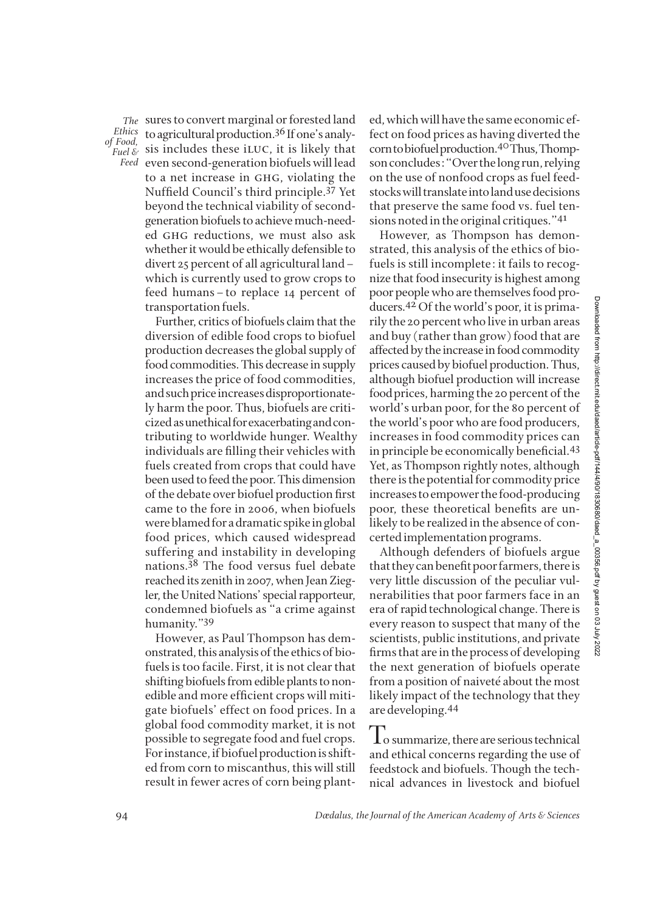*of Food,*

sures to convert marginal or forested land *The* to agricultural production.36 If one's analy - *Ethics*  Fixthered, sis includes these iLUC, it is likely that even second-generation biofuels will lead *Feed* to a net increase in GHG, violating the Nuffield Council's third principle.<sup>37</sup> Yet beyond the technical viability of secondgeneration biofuels to achieve much-need ed ghg reductions, we must also ask whether it would be ethically defensible to divert 25 percent of all agricultural land– which is currently used to grow crops to feed humans–to replace 14 percent of transportation fuels.

> Further, critics of biofuels claim that the diversion of edible food crops to biofuel production decreases the global supply of food commodities. This decrease in supply increases the price of food commodities, and such price increases disproportionate ly harm the poor. Thus, biofuels are criti cized as unethical for exacerbating and con tributing to worldwide hunger. Wealthy individuals are filling their vehicles with fuels created from crops that could have been used to feed the poor. This dimension of the debate over biofuel production first came to the fore in 2006, when biofuels were blamed for a dramatic spike in global food prices, which caused widespread suffering and instability in developing nations.38 The food versus fuel debate reached its zenith in 2007, when Jean Ziegler, the United Nations' special rapporteur, condemned biofuels as "a crime against humanity."39

> However, as Paul Thompson has dem on strated, this analysis of the ethics of bio fuels is too facile. First, it is not clear that shifting biofuels from edible plants to non edible and more efficient crops will mitigate biofuels' effect on food prices. In a global food commodity market, it is not possible to segregate food and fuel crops. For instance, if biofuel production is shift ed from corn to miscanthus, this will still result in fewer acres of corn being plant

ed, which will have the same economic ef fect on food prices as having diverted the corn to biofuel production.<sup>40</sup>Thus, Thompson concludes: "Over the long run, relying on the use of nonfood crops as fuel feedstocks will translate into land use decisions that preserve the same food vs. fuel tensions noted in the original critiques."41

However, as Thompson has demonstrated, this analysis of the ethics of biofuels is still incomplete: it fails to recognize that food insecurity is highest among poor people who are themselves food producers.42Of the world's poor, it is primarily the 20 percent who live in urban areas and buy (rather than grow) food that are af fected by the increase in food commodity prices caused by biofuel production. Thus, although biofuel production will increase food prices, harming the 20 percent of the world's urban poor, for the 80 percent of the world's poor who are food producers, increases in food commodity prices can in principle be economically beneficial.<sup>43</sup> Yet, as Thompson rightly notes, although there is the potential for commodity price increases to empower the food-producing poor, these theoretical benefits are unlikely to be realized in the absence of concerted implementation programs.

Although defenders of biofuels argue that they can benefit poor farmers, there is very little discussion of the peculiar vul nerabilities that poor farmers face in an era of rapid technological change. There is every reason to suspect that many of the scientists, public institutions, and private firms that are in the process of developing the next generation of biofuels operate from a position of naiveté about the most likely impact of the technology that they are developing.44

To summarize, there are serious technical and ethical concerns regarding the use of feedstock and biofuels. Though the technical advances in livestock and biofuel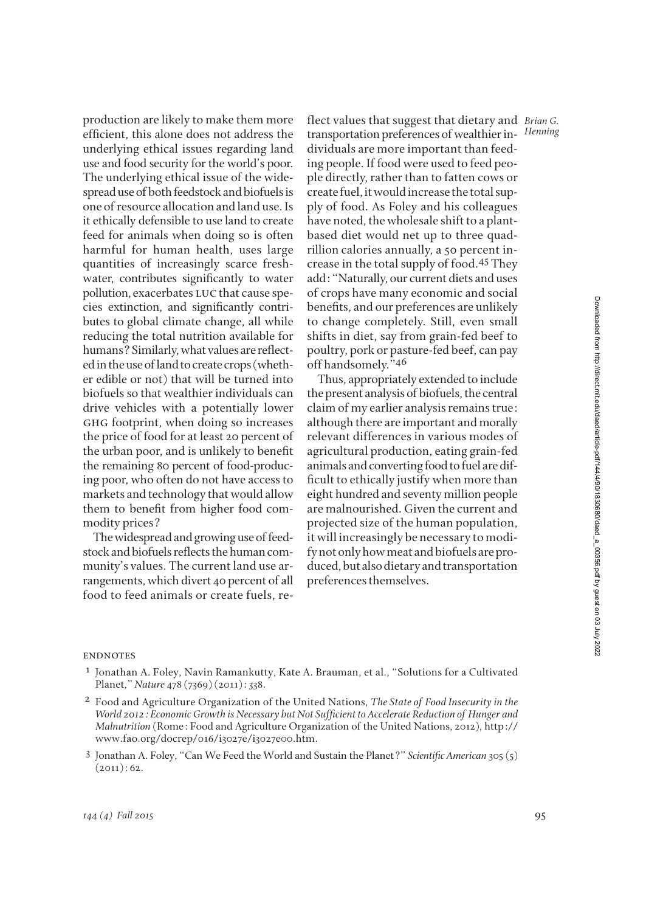production are likely to make them more efficient, this alone does not address the underlying ethical issues regarding land use and food security for the world's poor. The underlying ethical issue of the widespread use of both feedstock and biofuels is one of resource allocation and land use. Is it ethically defensible to use land to create feed for animals when doing so is often harm ful for human health, uses large quantities of increasingly scarce freshwater, contributes significantly to water pollution, exacerbates LUC that cause species extinction, and significantly contributes to global climate change, all while reducing the total nutrition available for humans? Similarly, what values are reflected in the use of land to create crops (wheth er edible or not) that will be turned into biofuels so that wealthier individuals can drive vehicles with a potentially lower ghg footprint, when doing so increases the price of food for at least 20 percent of the urban poor, and is unlikely to benefit the remaining 80 percent of food-producing poor, who often do not have access to markets and technology that would allow them to benefit from higher food commodity prices?

The widespread and growing use of feed stock and biofuels reflects the human com munity's values. The current land use ar rangements, which divert 40 percent of all food to feed animals or create fuels, reflect values that suggest that dietary and *Brian G.* transportation preferences of wealthier in- Henning dividuals are more important than feeding people. If food were used to feed people directly, rather than to fatten cows or create fuel, it would increase the total supply of food. As Foley and his colleagues have noted, the wholesale shift to a plantbased diet would net up to three quadrillion calories annually, a 50 percent in crease in the total supply of food.45 They add: "Naturally, our current diets and uses of crops have many economic and social benefits, and our preferences are unlikely to change completely. Still, even small shifts in diet, say from grain-fed beef to poultry, pork or pasture-fed beef, can pay off handsomely."46

Thus, appropriately extended to include the present analysis of biofuels, the central claim of my earlier analysis remains true: although there are important and morally relevant differences in various modes of agricultural production, eating grain-fed animals and converting food to fuel are difficult to ethically justify when more than eight hundred and seventy million people are malnourished. Given the current and projected size of the human population, it will increasingly be necessary to modify not only how meat and biofuels are pro duced, but also dietary and transportation preferences themselves.

## **ENDNOTES**

- 1 Jonathan A. Foley, Navin Ramankutty, Kate A. Brauman, et al., "Solutions for a Cultivated Planet," *Nature* 478 (7369) (2011): 338.
- 2 Food and Agriculture Organization of the United Nations, *The State of Food Insecurity in the* World 2012: Economic Growth is Necessary but Not Sufficient to Accelerate Reduction of Hunger and *Malnutrition* (Rome: Food and Agriculture Organization of the United Nations, 2012), http:// www.fao.org/docrep/016/i3027e/i3027e00.htm.
- <sup>3</sup> Jonathan A. Foley, "Can We Feed the World and Sustain the Planet?" *Scientific American* 305 (5)  $(2011): 62.$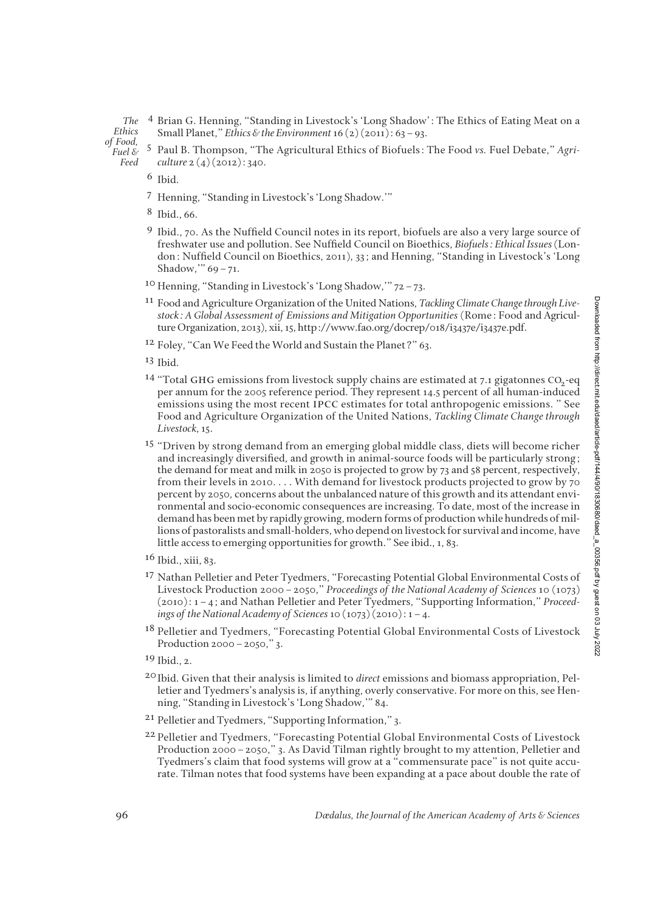4 Brian G. Henning, "Standing in Livestock's 'Long Shadow': The Ethics of Eating Meat on a Small Planet," *Ethics & the Environment*16 (2) (2011): 63–93. *The Ethics* 

*of Food, Fuel &* 

*Feed*

5 Paul B. Thompson, "The Agricultural Ethics of Biofuels: The Food *vs.* Fuel Debate," *Agri culture* 2 (4) (2012): 340.

6 Ibid.

7 Henning, "Standing in Livestock's 'Long Shadow.'"

8 Ibid., 66.

- 9 Ibid., 70. As the Nuffield Council notes in its report, biofuels are also a very large source of freshwater use and pollution. See Nuffield Council on Bioethics, *Biofuels: Ethical Issues* (London: Nuffield Council on Bioethics, 2011), 33; and Henning, "Standing in Livestock's 'Long Shadow,'" 69–71.
- 10 Henning, "Standing in Livestock's 'Long Shadow,'" 72–73.
- 11 Food and Agriculture Organization of the United Nations, *Tackling Climate Change through Livestock: A Global Assessment of Emissions and Mitigation Opportunities* (Rome: Food and Agriculture Organization, 2013), xii, 15, http://www.fao.org/docrep/018/i3437e/i3437e.pdf.
- <sup>12</sup> Foley, "Can We Feed the World and Sustain the Planet?" 63.

13 Ibid.

- <sup>14</sup> "Total GHG emissions from livestock supply chains are estimated at 7.1 gigatonnes CO<sub>2</sub>-eq per annum for the 2005 reference period. They represent 14.5 percent of all human-induced emissions using the most recent ipcc estimates for total anthropogenic emissions. " See Food and Agriculture Organization of the United Nations, *Tackling Climate Change through Livestock*, 15.
- <sup>15</sup> "Driven by strong demand from an emerging global middle class, diets will become richer and increasingly diversified, and growth in animal-source foods will be particularly strong; the demand for meat and milk in 2050 is projected to grow by 73 and 58 percent, respectively, from their levels in 2010. . . . With demand for livestock products projected to grow by 70 percent by 2050, concerns about the unbalanced nature of this growth and its attendant environmental and socio-economic consequences are increasing. To date, most of the increase in demand has been met by rapidly growing, modern forms of production while hundreds of millions of pastoralists and small-holders, who depend on livestock for survival and income, have little access to emerging opportunities for growth." See ibid., 1, 83.
- 16 Ibid., xiii, 83.
- 17 Nathan Pelletier and Peter Tyedmers, "Forecasting Potential Global Environmental Costs of Livestock Production 2000–2050," *Proceedings of the National Academy of Sciences* 10 (1073) (2010): 1–4; and Nathan Pelletier and Peter Tyedmers, "Supporting Information," *Proceedings of the National Academy of Sciences*10 (1073) (2010): 1–4.
- <sup>18</sup> Pelletier and Tyedmers, "Forecasting Potential Global Environmental Costs of Livestock Production 2000–2050," 3.
- $19$  Ibid., 2.
- 20Ibid. Given that their analysis is limited to *direct* emissions and biomass appropriation, Pelletier and Tyedmers's analysis is, if anything, overly conservative. For more on this, see Henning, "Standing in Livestock's 'Long Shadow,'" 84.
- 21 Pelletier and Tyedmers, "Supporting Information," 3.
- 22 Pelletier and Tyedmers, "Forecasting Potential Global Environmental Costs of Livestock Production 2000–2050," 3. As David Tilman rightly brought to my attention, Pelletier and Tyedmers's claim that food systems will grow at a "commensurate pace" is not quite accurate. Tilman notes that food systems have been expanding at a pace about double the rate of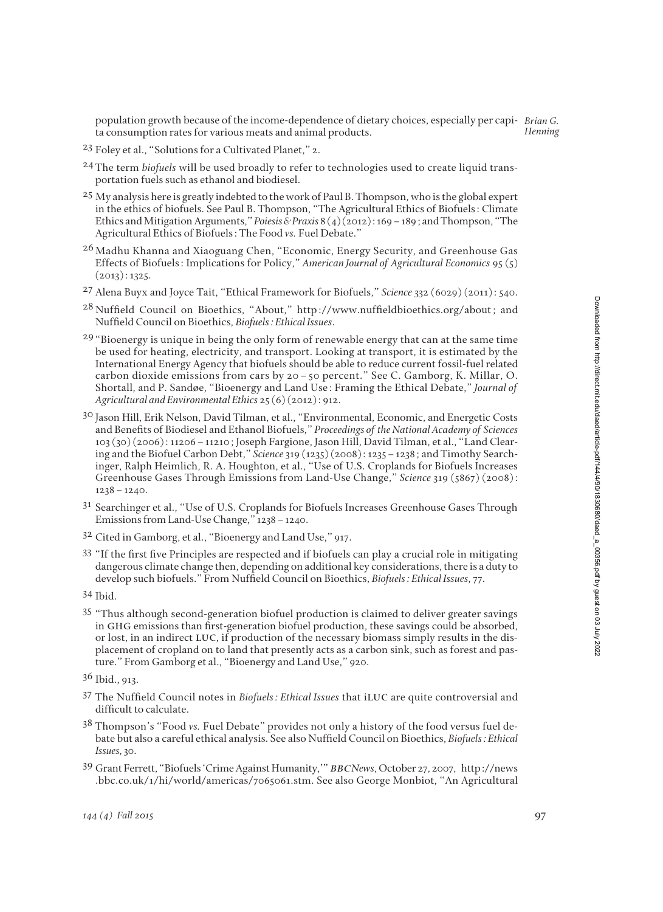population growth because of the income-dependence of dietary choices, especially per capi-*Brian G.* ta consumption rates for various meats and animal products. *Henning*

- 23 Foley et al., "Solutions for a Cultivated Planet," 2.
- 24 The term *biofuels* will be used broadly to refer to technologies used to create liquid transportation fuels such as ethanol and biodiesel.
- <sup>25</sup> My analysis here is greatly indebted to the work of Paul B. Thompson, who is the global expert in the ethics of biofuels. See Paul B. Thompson, "The Agricultural Ethics of Biofuels: Climate Ethics and Mitigation Arguments," *Poiesis & Praxis* 8 (4) (2012): 169 – 189; and Thompson, "The Agricultural Ethics of Biofuels: The Food *vs.* Fuel Debate."
- <sup>26</sup> Madhu Khanna and Xiaoguang Chen, "Economic, Energy Security, and Greenhouse Gas Effects of Biofuels: Implications for Policy," *American Journal of Agricultural Economics* 95 (5)  $(2013): 1325.$
- 27 Alena Buyx and Joyce Tait, "Ethical Framework for Biofuels," *Science* 332 (6029) (2011): 540.
- <sup>28</sup> Nuffield Council on Bioethics, "About," http://www.nuffieldbioethics.org/about; and Nuffield Council on Bioethics, *Biofuels: Ethical Issues*.
- $29$  "Bioenergy is unique in being the only form of renewable energy that can at the same time be used for heating, electricity, and transport. Looking at transport, it is estimated by the International Energy Agency that biofuels should be able to reduce current fossil-fuel related carbon dioxide emissions from cars by 20–50 percent." See C. Gamborg, K. Millar, O. Shortall, and P. Sandøe, "Bioenergy and Land Use: Framing the Ethical Debate," *Journal of Agricultural and Environmental Ethics* 25 (6) (2012): 912.
- 30 Jason Hill, Erik Nelson, David Tilman, et al., "Environmental, Economic, and Energetic Costs and Benefits of Biodiesel and Ethanol Biofuels," Proceedings of the National Academy of Sciences 103 (30) (2006): 11206–11210; Joseph Fargione, Jason Hill, David Tilman, et al., "Land Clear ing and the Biofuel Carbon Debt," *Science*319 (1235) (2008): 1235–1238; and Timothy Search inger, Ralph Heimlich, R. A. Houghton, et al., "Use of U.S. Croplands for Biofuels Increases Greenhouse Gases Through Emissions from Land-Use Change," *Science* 319 (5867) (2008):  $1238 - 1240.$
- 31 Searchinger et al., "Use of U.S. Croplands for Biofuels Increases Greenhouse Gases Through Emissions from Land-Use Change," 1238–1240.
- 32 Cited in Gamborg, et al., "Bioenergy and Land Use," 917.
- $33$  "If the first five Principles are respected and if biofuels can play a crucial role in mitigating dangerous climate change then, depending on additional key considerations, there is a duty to develop such biofuels." From Nuffield Council on Bioethics, *Biofuels: Ethical Issues*, 77.
- 34 Ibid.
- 35 "Thus although second-generation biofuel production is claimed to deliver greater savings in GHG emissions than first-generation biofuel production, these savings could be absorbed, or lost, in an indirect luc, if production of the necessary biomass simply results in the displacement of cropland on to land that presently acts as a carbon sink, such as forest and pasture." From Gamborg et al., "Bioenergy and Land Use," 920.

- 37 The Nuffield Council notes in *Biofuels: Ethical Issues* that iLUC are quite controversial and difficult to calculate.
- 38 Thompson's "Food *vs.* Fuel Debate" provides not only a history of the food versus fuel debate but also a careful ethical analysis. See also Nuffield Council on Bioethics, *Biofuels: Ethical Is sues*, 30.
- 39 Grant Ferrett, "Biofuels 'Crime Against Humanity,'" bbc*News*, October 27, 2007, http://news .bbc.co.uk/1/hi/world/americas/7065061.stm. See also George Monbiot, "An Agricultural

<sup>36</sup> Ibid., 913.